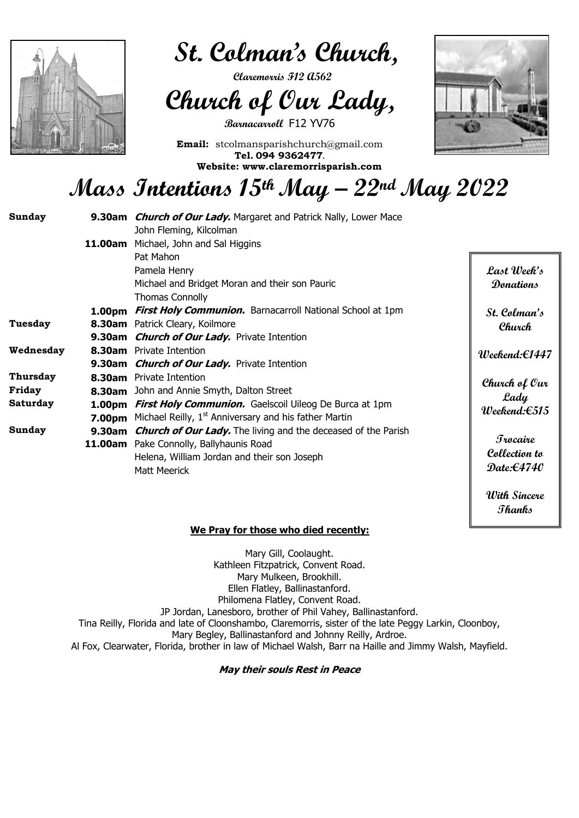**With Sincere** 

**Thanks**

 $\overline{a}$ 



 **St. Colman's Church,** 

 **Claremorris F12 A562** 

## **Church of Our Lady,**

**Barnacarroll** F12 YV76

**Email:** stcolmansparishchurch@gmail.com **Tel. 094 9362477.**

**Website: www.claremorrisparish.com**



### **Mass Intentions 15thMay – 22nd May 2022**

 **We Pray for those who died recently:**

Mary Gill, Coolaught. Kathleen Fitzpatrick, Convent Road. Mary Mulkeen, Brookhill. Ellen Flatley, Ballinastanford. Philomena Flatley, Convent Road. JP Jordan, Lanesboro, brother of Phil Vahey, Ballinastanford.

Tina Reilly, Florida and late of Cloonshambo, Claremorris, sister of the late Peggy Larkin, Cloonboy, Mary Begley, Ballinastanford and Johnny Reilly, Ardroe.

Al Fox, Clearwater, Florida, brother in law of Michael Walsh, Barr na Haille and Jimmy Walsh, Mayfield.

| <b>Sunday</b> |               | 9.30am <i>Church of Our Lady</i> . Margaret and Patrick Nally, Lower Mace |                               |
|---------------|---------------|---------------------------------------------------------------------------|-------------------------------|
|               |               | John Fleming, Kilcolman                                                   |                               |
|               | 11.00am       | Michael, John and Sal Higgins                                             |                               |
|               |               | Pat Mahon                                                                 |                               |
|               |               | Pamela Henry                                                              | Last Week's                   |
|               |               | Michael and Bridget Moran and their son Pauric                            | Donations                     |
|               |               | <b>Thomas Connolly</b>                                                    |                               |
|               | <b>1.00pm</b> | <b>First Holy Communion.</b> Barnacarroll National School at 1pm          | St. Colman's                  |
| Tuesday       |               | 8.30am Patrick Cleary, Koilmore                                           | Church                        |
|               |               | 9.30am <i>Church of Our Lady</i> . Private Intention                      |                               |
| Wednesday     |               | <b>8.30am</b> Private Intention                                           | $Weekend: \in 1447$           |
|               |               | 9.30am <i>Church of Our Lady</i> . Private Intention                      |                               |
| Thursday      | 8.30am        | <b>Private Intention</b>                                                  | Church of Our                 |
| Friday        | 8.30am        | John and Annie Smyth, Dalton Street                                       | Lady                          |
| Saturday      | 1.00pm        | <b>First Holy Communion.</b> Gaelscoil Uileog De Burca at 1pm             | $Weekend: \in 515$            |
|               | 7.00pm        | Michael Reilly, 1 <sup>st</sup> Anniversary and his father Martin         |                               |
| <b>Sunday</b> | 9.30am        | <b>Church of Our Lady.</b> The living and the deceased of the Parish      |                               |
|               | 11.00am       | Pake Connolly, Ballyhaunis Road                                           | <b><i><u>Irocaire</u></i></b> |
|               |               | Helena, William Jordan and their son Joseph                               | Collection to                 |
|               |               | <b>Matt Meerick</b>                                                       | Date: $\epsilon$ 4740         |
|               |               |                                                                           |                               |

**May their souls Rest in Peace**